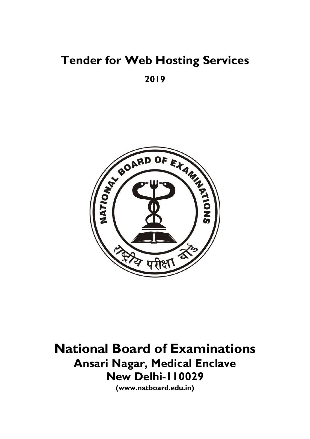# Tender for Web Hosting Services

# 2019



National Board of Examinations Ansari Nagar, Medical Enclave New Delhi-110029

(www.natboard.edu.in)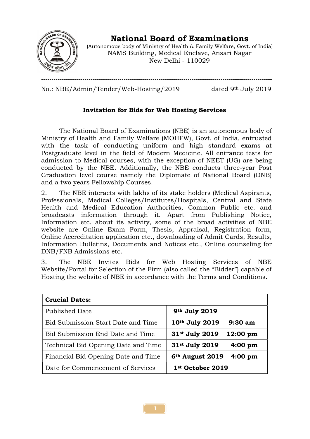

National Board of Examinations

(Autonomous body of Ministry of Health & Family Welfare, Govt. of India) NAMS Building, Medical Enclave, Ansari Nagar New Delhi - 110029

No.: NBE/Admin/Tender/Web-Hosting/2019 dated 9th July 2019

# Invitation for Bids for Web Hosting Services

----------------------------------------------------------------------------------------------------------------

The National Board of Examinations (NBE) is an autonomous body of Ministry of Health and Family Welfare (MOHFW), Govt. of India, entrusted with the task of conducting uniform and high standard exams at Postgraduate level in the field of Modern Medicine. All entrance tests for admission to Medical courses, with the exception of NEET (UG) are being conducted by the NBE. Additionally, the NBE conducts three-year Post Graduation level course namely the Diplomate of National Board (DNB) and a two years Fellowship Courses.

2. The NBE interacts with lakhs of its stake holders (Medical Aspirants, Professionals, Medical Colleges/Institutes/Hospitals, Central and State Health and Medical Education Authorities, Common Public etc. and broadcasts information through it. Apart from Publishing Notice, Information etc. about its activity, some of the broad activities of NBE website are Online Exam Form, Thesis, Appraisal, Registration form, Online Accreditation application etc., downloading of Admit Cards, Results, Information Bulletins, Documents and Notices etc., Online counseling for DNB/FNB Admissions etc.

3. The NBE Invites Bids for Web Hosting Services of NBE Website/Portal for Selection of the Firm (also called the "Bidder") capable of Hosting the website of NBE in accordance with the Terms and Conditions.

| <b>Crucial Dates:</b>               |                                                 |
|-------------------------------------|-------------------------------------------------|
| Published Date                      | 9th July 2019                                   |
| Bid Submission Start Date and Time  | 10th July 2019<br>$9:30$ am                     |
| Bid Submission End Date and Time    | 31st July 2019<br>12:00~pm                      |
| Technical Bid Opening Date and Time | 31st July 2019<br>$4:00~\text{pm}$              |
| Financial Bid Opening Date and Time | 6 <sup>th</sup> August 2019<br>$4:00~\text{pm}$ |
| Date for Commencement of Services   | 1st October 2019                                |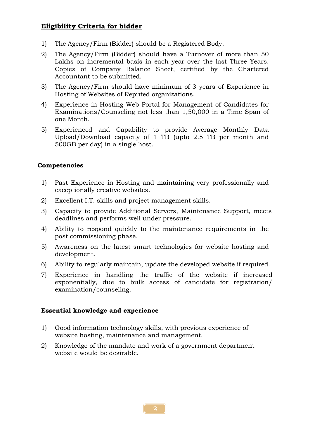# Eligibility Criteria for bidder

- 1) The Agency/Firm (Bidder) should be a Registered Body.
- 2) The Agency/Firm (Bidder) should have a Turnover of more than 50 Lakhs on incremental basis in each year over the last Three Years. Copies of Company Balance Sheet, certified by the Chartered Accountant to be submitted.
- 3) The Agency/Firm should have minimum of 3 years of Experience in Hosting of Websites of Reputed organizations.
- 4) Experience in Hosting Web Portal for Management of Candidates for Examinations/Counseling not less than 1,50,000 in a Time Span of one Month.
- 5) Experienced and Capability to provide Average Monthly Data Upload/Download capacity of 1 TB (upto 2.5 TB per month and 500GB per day) in a single host.

#### Competencies

- 1) Past Experience in Hosting and maintaining very professionally and exceptionally creative websites.
- 2) Excellent I.T. skills and project management skills.
- 3) Capacity to provide Additional Servers, Maintenance Support, meets deadlines and performs well under pressure.
- 4) Ability to respond quickly to the maintenance requirements in the post commissioning phase.
- 5) Awareness on the latest smart technologies for website hosting and development.
- 6) Ability to regularly maintain, update the developed website if required.
- 7) Experience in handling the traffic of the website if increased exponentially, due to bulk access of candidate for registration/ examination/counseling.

#### Essential knowledge and experience

- 1) Good information technology skills, with previous experience of website hosting, maintenance and management.
- 2) Knowledge of the mandate and work of a government department website would be desirable.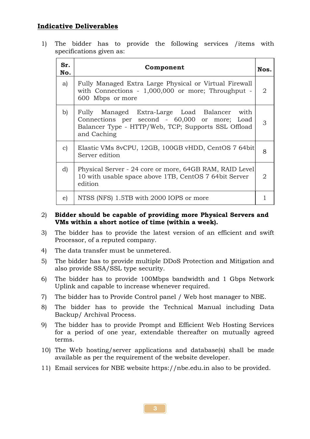# Indicative Deliverables

1) The bidder has to provide the following services /items with specifications given as:

| Sr.<br>No.   | Component                                                                                                                                                              | Nos. |
|--------------|------------------------------------------------------------------------------------------------------------------------------------------------------------------------|------|
| a)           | Fully Managed Extra Large Physical or Virtual Firewall<br>with Connections - 1,000,000 or more; Throughput -<br>600 Mbps or more                                       | 2    |
| b)           | Fully Managed Extra-Large Load Balancer<br>with<br>Connections per second - 60,000 or more; Load<br>Balancer Type - HTTP/Web, TCP; Supports SSL Offload<br>and Caching | 3    |
| $\mathbf{C}$ | Elastic VMs 8vCPU, 12GB, 100GB vHDD, CentOS 7 64bit<br>Server edition                                                                                                  | 8    |
| d)           | Physical Server - 24 core or more, 64GB RAM, RAID Level<br>10 with usable space above 1TB, CentOS 7 64bit Server<br>edition                                            | 2    |
| $\epsilon$   | NTSS (NFS) 1.5TB with 2000 IOPS or more                                                                                                                                |      |

#### 2) Bidder should be capable of providing more Physical Servers and VMs within a short notice of time (within a week).

- 3) The bidder has to provide the latest version of an efficient and swift Processor, of a reputed company.
- 4) The data transfer must be unmetered.
- 5) The bidder has to provide multiple DDoS Protection and Mitigation and also provide SSA/SSL type security.
- 6) The bidder has to provide 100Mbps bandwidth and 1 Gbps Network Uplink and capable to increase whenever required.
- 7) The bidder has to Provide Control panel / Web host manager to NBE.
- 8) The bidder has to provide the Technical Manual including Data Backup/ Archival Process.
- 9) The bidder has to provide Prompt and Efficient Web Hosting Services for a period of one year, extendable thereafter on mutually agreed terms.
- 10) The Web hosting/server applications and database(s) shall be made available as per the requirement of the website developer.
- 11) Email services for NBE website https://nbe.edu.in also to be provided.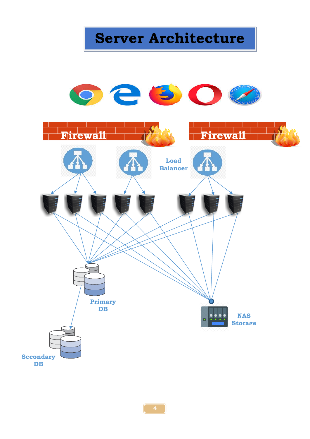Server Architecture

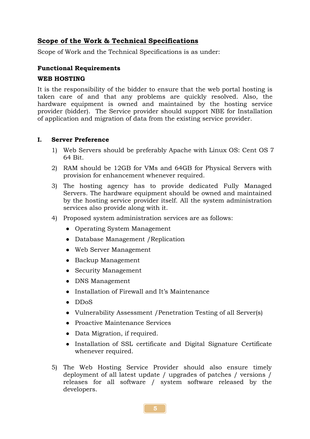# Scope of the Work & Technical Specifications

Scope of Work and the Technical Specifications is as under:

#### Functional Requirements

#### WEB HOSTING

It is the responsibility of the bidder to ensure that the web portal hosting is taken care of and that any problems are quickly resolved. Also, the hardware equipment is owned and maintained by the hosting service provider (bidder). The Service provider should support NBE for Installation of application and migration of data from the existing service provider.

#### I. Server Preference

- 1) Web Servers should be preferably Apache with Linux OS: Cent OS 7 64 Bit.
- 2) RAM should be 12GB for VMs and 64GB for Physical Servers with provision for enhancement whenever required.
- 3) The hosting agency has to provide dedicated Fully Managed Servers. The hardware equipment should be owned and maintained by the hosting service provider itself. All the system administration services also provide along with it.
- 4) Proposed system administration services are as follows:
	- Operating System Management
	- Database Management /Replication
	- Web Server Management
	- Backup Management
	- Security Management
	- DNS Management
	- Installation of Firewall and It's Maintenance
	- DDoS
	- Vulnerability Assessment /Penetration Testing of all Server(s)
	- Proactive Maintenance Services
	- Data Migration, if required.
	- Installation of SSL certificate and Digital Signature Certificate whenever required.
- 5) The Web Hosting Service Provider should also ensure timely deployment of all latest update / upgrades of patches / versions / releases for all software / system software released by the developers.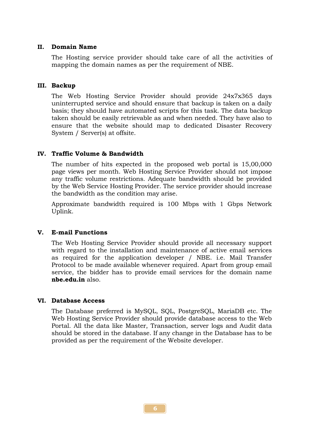#### II. Domain Name

The Hosting service provider should take care of all the activities of mapping the domain names as per the requirement of NBE.

#### III. Backup

The Web Hosting Service Provider should provide 24x7x365 days uninterrupted service and should ensure that backup is taken on a daily basis; they should have automated scripts for this task. The data backup taken should be easily retrievable as and when needed. They have also to ensure that the website should map to dedicated Disaster Recovery System / Server(s) at offsite.

#### IV. Traffic Volume & Bandwidth

The number of hits expected in the proposed web portal is 15,00,000 page views per month. Web Hosting Service Provider should not impose any traffic volume restrictions. Adequate bandwidth should be provided by the Web Service Hosting Provider. The service provider should increase the bandwidth as the condition may arise.

Approximate bandwidth required is 100 Mbps with 1 Gbps Network Uplink.

#### V. E-mail Functions

The Web Hosting Service Provider should provide all necessary support with regard to the installation and maintenance of active email services as required for the application developer / NBE. i.e. Mail Transfer Protocol to be made available whenever required. Apart from group email service, the bidder has to provide email services for the domain name nbe.edu.in also.

#### VI. Database Access

The Database preferred is MySQL, SQL, PostgreSQL, MariaDB etc. The Web Hosting Service Provider should provide database access to the Web Portal. All the data like Master, Transaction, server logs and Audit data should be stored in the database. If any change in the Database has to be provided as per the requirement of the Website developer.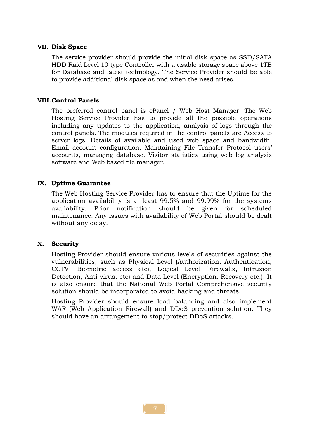#### VII. Disk Space

The service provider should provide the initial disk space as SSD/SATA HDD Raid Level 10 type Controller with a usable storage space above 1TB for Database and latest technology. The Service Provider should be able to provide additional disk space as and when the need arises.

#### VIII.Control Panels

The preferred control panel is cPanel / Web Host Manager. The Web Hosting Service Provider has to provide all the possible operations including any updates to the application, analysis of logs through the control panels. The modules required in the control panels are Access to server logs, Details of available and used web space and bandwidth, Email account configuration, Maintaining File Transfer Protocol users' accounts, managing database, Visitor statistics using web log analysis software and Web based file manager.

#### IX. Uptime Guarantee

The Web Hosting Service Provider has to ensure that the Uptime for the application availability is at least 99.5% and 99.99% for the systems availability. Prior notification should be given for scheduled maintenance. Any issues with availability of Web Portal should be dealt without any delay.

#### X. Security

Hosting Provider should ensure various levels of securities against the vulnerabilities, such as Physical Level (Authorization, Authentication, CCTV, Biometric access etc), Logical Level (Firewalls, Intrusion Detection, Anti-virus, etc) and Data Level (Encryption, Recovery etc.). It is also ensure that the National Web Portal Comprehensive security solution should be incorporated to avoid hacking and threats.

Hosting Provider should ensure load balancing and also implement WAF (Web Application Firewall) and DDoS prevention solution. They should have an arrangement to stop/protect DDoS attacks.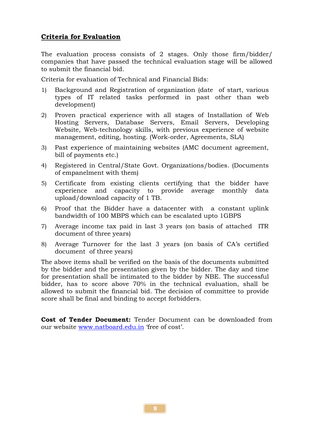# Criteria for Evaluation

The evaluation process consists of 2 stages. Only those firm/bidder/ companies that have passed the technical evaluation stage will be allowed to submit the financial bid.

Criteria for evaluation of Technical and Financial Bids:

- 1) Background and Registration of organization (date of start, various types of IT related tasks performed in past other than web development)
- 2) Proven practical experience with all stages of Installation of Web Hosting Servers, Database Servers, Email Servers, Developing Website, Web-technology skills, with previous experience of website management, editing, hosting. (Work-order, Agreements, SLA)
- 3) Past experience of maintaining websites (AMC document agreement, bill of payments etc.)
- 4) Registered in Central/State Govt. Organizations/bodies. (Documents of empanelment with them)
- 5) Certificate from existing clients certifying that the bidder have experience and capacity to provide average monthly data upload/download capacity of 1 TB.
- 6) Proof that the Bidder have a datacenter with a constant uplink bandwidth of 100 MBPS which can be escalated upto 1GBPS
- 7) Average income tax paid in last 3 years (on basis of attached ITR document of three years)
- 8) Average Turnover for the last 3 years (on basis of CA's certified document of three years)

The above items shall be verified on the basis of the documents submitted by the bidder and the presentation given by the bidder. The day and time for presentation shall be intimated to the bidder by NBE. The successful bidder, has to score above 70% in the technical evaluation, shall be allowed to submit the financial bid. The decision of committee to provide score shall be final and binding to accept forbidders.

Cost of Tender Document: Tender Document can be downloaded from our website www.natboard.edu.in 'free of cost'.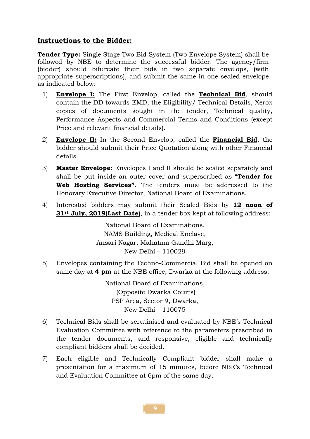## Instructions to the Bidder:

Tender Type: Single Stage Two Bid System (Two Envelope System) shall be followed by NBE to determine the successful bidder. The agency/firm (bidder) should bifurcate their bids in two separate envelops, (with appropriate superscriptions), and submit the same in one sealed envelope as indicated below:

- 1) Envelope I: The First Envelop, called the Technical Bid, should contain the DD towards EMD, the Eligibility/ Technical Details, Xerox copies of documents sought in the tender, Technical quality, Performance Aspects and Commercial Terms and Conditions (except Price and relevant financial details).
- 2) Envelope II: In the Second Envelop, called the Financial Bid, the bidder should submit their Price Quotation along with other Financial details.
- 3) Master Envelope: Envelopes I and II should be sealed separately and shall be put inside an outer cover and superscribed as "**Tender for** Web Hosting Services". The tenders must be addressed to the Honorary Executive Director, National Board of Examinations.
- 4) Interested bidders may submit their Sealed Bids by 12 noon of 31<sup>st</sup> July, 2019(Last Date), in a tender box kept at following address:

National Board of Examinations, NAMS Building, Medical Enclave, Ansari Nagar, Mahatma Gandhi Marg, New Delhi – 110029

5) Envelopes containing the Techno-Commercial Bid shall be opened on same day at 4 pm at the NBE office, Dwarka at the following address:

> National Board of Examinations, (Opposite Dwarka Courts) PSP Area, Sector 9, Dwarka, New Delhi – 110075

- 6) Technical Bids shall be scrutinised and evaluated by NBE's Technical Evaluation Committee with reference to the parameters prescribed in the tender documents, and responsive, eligible and technically compliant bidders shall be decided.
- 7) Each eligible and Technically Compliant bidder shall make a presentation for a maximum of 15 minutes, before NBE's Technical and Evaluation Committee at 6pm of the same day.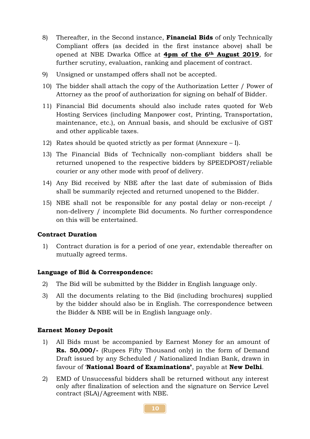- 8) Thereafter, in the Second instance, **Financial Bids** of only Technically Compliant offers (as decided in the first instance above) shall be opened at NBE Dwarka Office at 4pm of the 6th August 2019, for further scrutiny, evaluation, ranking and placement of contract.
- 9) Unsigned or unstamped offers shall not be accepted.
- 10) The bidder shall attach the copy of the Authorization Letter / Power of Attorney as the proof of authorization for signing on behalf of Bidder.
- 11) Financial Bid documents should also include rates quoted for Web Hosting Services (including Manpower cost, Printing, Transportation, maintenance, etc.), on Annual basis, and should be exclusive of GST and other applicable taxes.
- 12) Rates should be quoted strictly as per format (Annexure I).
- 13) The Financial Bids of Technically non-compliant bidders shall be returned unopened to the respective bidders by SPEEDPOST/reliable courier or any other mode with proof of delivery.
- 14) Any Bid received by NBE after the last date of submission of Bids shall be summarily rejected and returned unopened to the Bidder.
- 15) NBE shall not be responsible for any postal delay or non-receipt / non-delivery / incomplete Bid documents. No further correspondence on this will be entertained.

### Contract Duration

1) Contract duration is for a period of one year, extendable thereafter on mutually agreed terms.

#### Language of Bid & Correspondence:

- 2) The Bid will be submitted by the Bidder in English language only.
- 3) All the documents relating to the Bid (including brochures) supplied by the bidder should also be in English. The correspondence between the Bidder & NBE will be in English language only.

#### Earnest Money Deposit

- 1) All Bids must be accompanied by Earnest Money for an amount of Rs. 50,000/- (Rupees Fifty Thousand only) in the form of Demand Draft issued by any Scheduled / Nationalized Indian Bank, drawn in favour of 'National Board of Examinations', payable at New Delhi.
- 2) EMD of Unsuccessful bidders shall be returned without any interest only after finalization of selection and the signature on Service Level contract (SLA)/Agreement with NBE.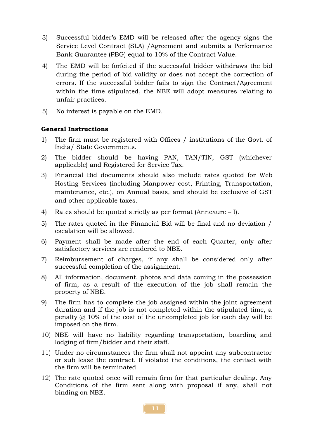- 3) Successful bidder's EMD will be released after the agency signs the Service Level Contract (SLA) /Agreement and submits a Performance Bank Guarantee (PBG) equal to 10% of the Contract Value.
- 4) The EMD will be forfeited if the successful bidder withdraws the bid during the period of bid validity or does not accept the correction of errors. If the successful bidder fails to sign the Contract/Agreement within the time stipulated, the NBE will adopt measures relating to unfair practices.
- 5) No interest is payable on the EMD.

#### General Instructions

- 1) The firm must be registered with Offices / institutions of the Govt. of India/ State Governments.
- 2) The bidder should be having PAN, TAN/TIN, GST (whichever applicable) and Registered for Service Tax.
- 3) Financial Bid documents should also include rates quoted for Web Hosting Services (including Manpower cost, Printing, Transportation, maintenance, etc.), on Annual basis, and should be exclusive of GST and other applicable taxes.
- 4) Rates should be quoted strictly as per format (Annexure I).
- 5) The rates quoted in the Financial Bid will be final and no deviation / escalation will be allowed.
- 6) Payment shall be made after the end of each Quarter, only after satisfactory services are rendered to NBE.
- 7) Reimbursement of charges, if any shall be considered only after successful completion of the assignment.
- 8) All information, document, photos and data coming in the possession of firm, as a result of the execution of the job shall remain the property of NBE.
- 9) The firm has to complete the job assigned within the joint agreement duration and if the job is not completed within the stipulated time, a penalty @ 10% of the cost of the uncompleted job for each day will be imposed on the firm.
- 10) NBE will have no liability regarding transportation, boarding and lodging of firm/bidder and their staff.
- 11) Under no circumstances the firm shall not appoint any subcontractor or sub lease the contract. If violated the conditions, the contact with the firm will be terminated.
- 12) The rate quoted once will remain firm for that particular dealing. Any Conditions of the firm sent along with proposal if any, shall not binding on NBE.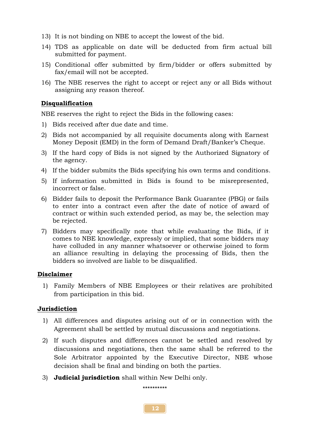- 13) It is not binding on NBE to accept the lowest of the bid.
- 14) TDS as applicable on date will be deducted from firm actual bill submitted for payment.
- 15) Conditional offer submitted by firm/bidder or offers submitted by fax/email will not be accepted.
- 16) The NBE reserves the right to accept or reject any or all Bids without assigning any reason thereof.

#### Disqualification

NBE reserves the right to reject the Bids in the following cases:

- 1) Bids received after due date and time.
- 2) Bids not accompanied by all requisite documents along with Earnest Money Deposit (EMD) in the form of Demand Draft/Banker's Cheque.
- 3) If the hard copy of Bids is not signed by the Authorized Signatory of the agency.
- 4) If the bidder submits the Bids specifying his own terms and conditions.
- 5) If information submitted in Bids is found to be misrepresented, incorrect or false.
- 6) Bidder fails to deposit the Performance Bank Guarantee (PBG) or fails to enter into a contract even after the date of notice of award of contract or within such extended period, as may be, the selection may be rejected.
- 7) Bidders may specifically note that while evaluating the Bids, if it comes to NBE knowledge, expressly or implied, that some bidders may have colluded in any manner whatsoever or otherwise joined to form an alliance resulting in delaying the processing of Bids, then the bidders so involved are liable to be disqualified.

#### Disclaimer

1) Family Members of NBE Employees or their relatives are prohibited from participation in this bid.

#### Jurisdiction

- 1) All differences and disputes arising out of or in connection with the Agreement shall be settled by mutual discussions and negotiations.
- 2) If such disputes and differences cannot be settled and resolved by discussions and negotiations, then the same shall be referred to the Sole Arbitrator appointed by the Executive Director, NBE whose decision shall be final and binding on both the parties.
- 3) **Judicial jurisdiction** shall within New Delhi only.

\*\*\*\*\*\*\*\*\*\*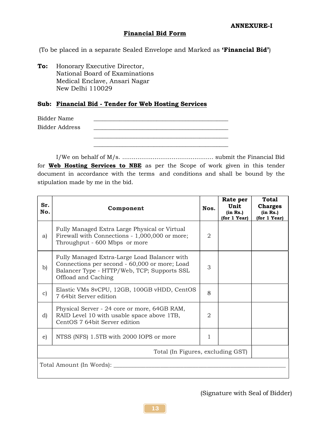#### Financial Bid Form

(To be placed in a separate Sealed Envelope and Marked as 'Financial Bid')

To: Honorary Executive Director, National Board of Examinations Medical Enclave, Ansari Nagar New Delhi 110029

#### Sub: Financial Bid - Tender for Web Hosting Services

Bidder Name \_\_\_\_\_\_\_\_\_\_\_\_\_\_\_\_\_\_\_\_\_\_\_\_\_\_\_\_\_\_\_\_\_\_\_\_\_\_\_\_\_\_\_\_\_\_\_

| Bidder Address |  |
|----------------|--|
|                |  |
|                |  |
|                |  |
|                |  |

I/We on behalf of M/s. ………………………………………… submit the Financial Bid for **Web Hosting Services to NBE** as per the Scope of work given in this tender document in accordance with the terms and conditions and shall be bound by the stipulation made by me in the bid.

| Sr.<br>No.                        | Component                                                                                                                                                           | Nos. | Rate per<br>Unit<br>(in Rs.)<br>(for 1 Year) | <b>Total</b><br><b>Charges</b><br>(in Rs.)<br>(for 1 Year) |  |
|-----------------------------------|---------------------------------------------------------------------------------------------------------------------------------------------------------------------|------|----------------------------------------------|------------------------------------------------------------|--|
| a)                                | Fully Managed Extra Large Physical or Virtual<br>Firewall with Connections - 1,000,000 or more;<br>Throughput - 600 Mbps or more                                    | 2    |                                              |                                                            |  |
| $\mathbf{b}$                      | Fully Managed Extra-Large Load Balancer with<br>Connections per second - 60,000 or more; Load<br>Balancer Type - HTTP/Web, TCP; Supports SSL<br>Offload and Caching | 3    |                                              |                                                            |  |
| $\mathbf{C}$                      | Elastic VMs 8vCPU, 12GB, 100GB vHDD, CentOS<br>7 64bit Server edition                                                                                               | 8    |                                              |                                                            |  |
| d)                                | Physical Server - 24 core or more, 64GB RAM,<br>RAID Level 10 with usable space above 1TB,<br>CentOS 7 64bit Server edition                                         | 2    |                                              |                                                            |  |
| e)                                | NTSS (NFS) 1.5TB with 2000 IOPS or more                                                                                                                             |      |                                              |                                                            |  |
| Total (In Figures, excluding GST) |                                                                                                                                                                     |      |                                              |                                                            |  |
| Total Amount (In Words): _        |                                                                                                                                                                     |      |                                              |                                                            |  |
|                                   |                                                                                                                                                                     |      |                                              |                                                            |  |

(Signature with Seal of Bidder)